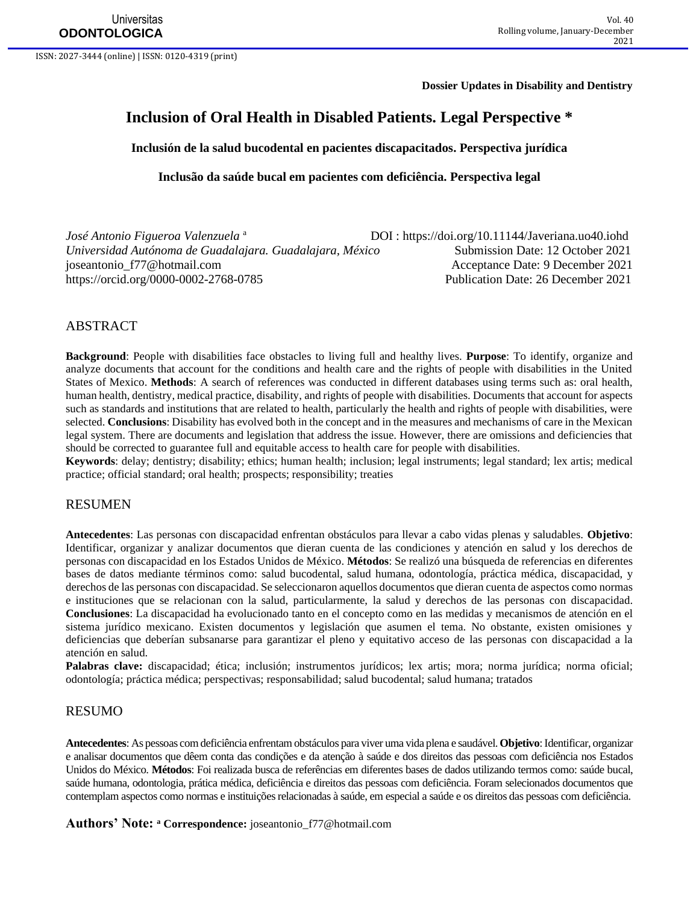ISSN: 2027-3444 (online) | ISSN: 0120-4319 (print)

**Dossier Updates in Disability and Dentistry**

# **Inclusion of Oral Health in Disabled Patients. Legal Perspective \***

**Inclusión de la salud bucodental en pacientes discapacitados. Perspectiva jurídica**

**Inclusão da saúde bucal em pacientes com deficiência. Perspectiva legal**

| José Antonio Figueroa Valenzuela <sup>a</sup>            | DOI: https://doi.org/10.11144/Javeriana.uo40.iohd |
|----------------------------------------------------------|---------------------------------------------------|
| Universidad Autónoma de Guadalajara. Guadalajara, México | Submission Date: 12 October 2021                  |
| joseantonio_f77@hotmail.com                              | Acceptance Date: 9 December 2021                  |
| https://orcid.org/0000-0002-2768-0785                    | Publication Date: 26 December 2021                |

#### ABSTRACT

**Background**: People with disabilities face obstacles to living full and healthy lives. **Purpose**: To identify, organize and analyze documents that account for the conditions and health care and the rights of people with disabilities in the United States of Mexico. **Methods**: A search of references was conducted in different databases using terms such as: oral health, human health, dentistry, medical practice, disability, and rights of people with disabilities. Documents that account for aspects such as standards and institutions that are related to health, particularly the health and rights of people with disabilities, were selected. **Conclusions**: Disability has evolved both in the concept and in the measures and mechanisms of care in the Mexican legal system. There are documents and legislation that address the issue. However, there are omissions and deficiencies that should be corrected to guarantee full and equitable access to health care for people with disabilities.

**Keywords**: delay; dentistry; disability; ethics; human health; inclusion; legal instruments; legal standard; lex artis; medical practice; official standard; oral health; prospects; responsibility; treaties

#### RESUMEN

**Antecedentes**: Las personas con discapacidad enfrentan obstáculos para llevar a cabo vidas plenas y saludables. **Objetivo**: Identificar, organizar y analizar documentos que dieran cuenta de las condiciones y atención en salud y los derechos de personas con discapacidad en los Estados Unidos de México. **Métodos**: Se realizó una búsqueda de referencias en diferentes bases de datos mediante términos como: salud bucodental, salud humana, odontología, práctica médica, discapacidad, y derechos de las personas con discapacidad. Se seleccionaron aquellos documentos que dieran cuenta de aspectos como normas e instituciones que se relacionan con la salud, particularmente, la salud y derechos de las personas con discapacidad. **Conclusiones**: La discapacidad ha evolucionado tanto en el concepto como en las medidas y mecanismos de atención en el sistema jurídico mexicano. Existen documentos y legislación que asumen el tema. No obstante, existen omisiones y deficiencias que deberían subsanarse para garantizar el pleno y equitativo acceso de las personas con discapacidad a la atención en salud.

**Palabras clave:** discapacidad; ética; inclusión; instrumentos jurídicos; lex artis; mora; norma jurídica; norma oficial; odontología; práctica médica; perspectivas; responsabilidad; salud bucodental; salud humana; tratados

#### RESUMO

**Antecedentes**: As pessoas com deficiência enfrentam obstáculos para viver uma vida plena e saudável. **Objetivo**: Identificar, organizar e analisar documentos que dêem conta das condições e da atenção à saúde e dos direitos das pessoas com deficiência nos Estados Unidos do México. **Métodos**: Foi realizada busca de referências em diferentes bases de dados utilizando termos como: saúde bucal, saúde humana, odontologia, prática médica, deficiência e direitos das pessoas com deficiência. Foram selecionados documentos que contemplam aspectos como normas e instituições relacionadas à saúde, em especial a saúde e os direitos das pessoas com deficiência.

**Authors' Note: <sup>a</sup> Correspondence:** [joseantonio\\_f77@hotmail.com](mailto:joseantonio_f77@hotmail.com)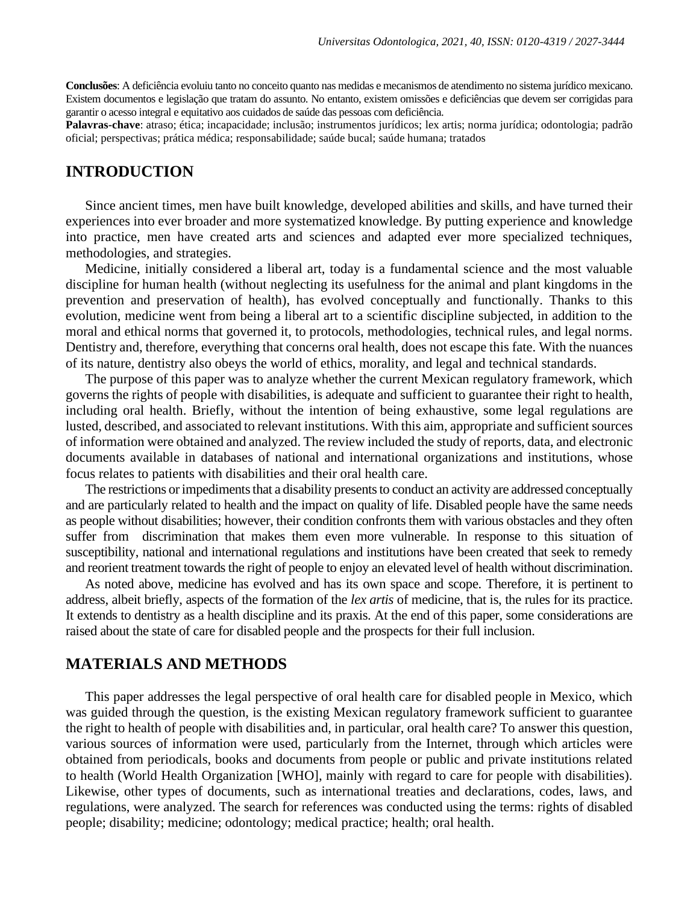**Conclusões**: A deficiência evoluiu tanto no conceito quanto nas medidas e mecanismos de atendimento no sistema jurídico mexicano. Existem documentos e legislação que tratam do assunto. No entanto, existem omissões e deficiências que devem ser corrigidas para garantir o acesso integral e equitativo aos cuidados de saúde das pessoas com deficiência.

**Palavras-chave**: atraso; ética; incapacidade; inclusão; instrumentos jurídicos; lex artis; norma jurídica; odontologia; padrão oficial; perspectivas; prática médica; responsabilidade; saúde bucal; saúde humana; tratados

### **INTRODUCTION**

Since ancient times, men have built knowledge, developed abilities and skills, and have turned their experiences into ever broader and more systematized knowledge. By putting experience and knowledge into practice, men have created arts and sciences and adapted ever more specialized techniques, methodologies, and strategies.

Medicine, initially considered a liberal art, today is a fundamental science and the most valuable discipline for human health (without neglecting its usefulness for the animal and plant kingdoms in the prevention and preservation of health), has evolved conceptually and functionally. Thanks to this evolution, medicine went from being a liberal art to a scientific discipline subjected, in addition to the moral and ethical norms that governed it, to protocols, methodologies, technical rules, and legal norms. Dentistry and, therefore, everything that concerns oral health, does not escape this fate. With the nuances of its nature, dentistry also obeys the world of ethics, morality, and legal and technical standards.

The purpose of this paper was to analyze whether the current Mexican regulatory framework, which governs the rights of people with disabilities, is adequate and sufficient to guarantee their right to health, including oral health. Briefly, without the intention of being exhaustive, some legal regulations are lusted, described, and associated to relevant institutions. With this aim, appropriate and sufficient sources of information were obtained and analyzed. The review included the study of reports, data, and electronic documents available in databases of national and international organizations and institutions, whose focus relates to patients with disabilities and their oral health care.

The restrictions or impediments that a disability presents to conduct an activity are addressed conceptually and are particularly related to health and the impact on quality of life. Disabled people have the same needs as people without disabilities; however, their condition confronts them with various obstacles and they often suffer from discrimination that makes them even more vulnerable. In response to this situation of susceptibility, national and international regulations and institutions have been created that seek to remedy and reorient treatment towards the right of people to enjoy an elevated level of health without discrimination.

As noted above, medicine has evolved and has its own space and scope. Therefore, it is pertinent to address, albeit briefly, aspects of the formation of the *lex artis* of medicine, that is, the rules for its practice. It extends to dentistry as a health discipline and its praxis. At the end of this paper, some considerations are raised about the state of care for disabled people and the prospects for their full inclusion.

### **MATERIALS AND METHODS**

This paper addresses the legal perspective of oral health care for disabled people in Mexico, which was guided through the question, is the existing Mexican regulatory framework sufficient to guarantee the right to health of people with disabilities and, in particular, oral health care? To answer this question, various sources of information were used, particularly from the Internet, through which articles were obtained from periodicals, books and documents from people or public and private institutions related to health (World Health Organization [WHO], mainly with regard to care for people with disabilities). Likewise, other types of documents, such as international treaties and declarations, codes, laws, and regulations, were analyzed. The search for references was conducted using the terms: rights of disabled people; disability; medicine; odontology; medical practice; health; oral health.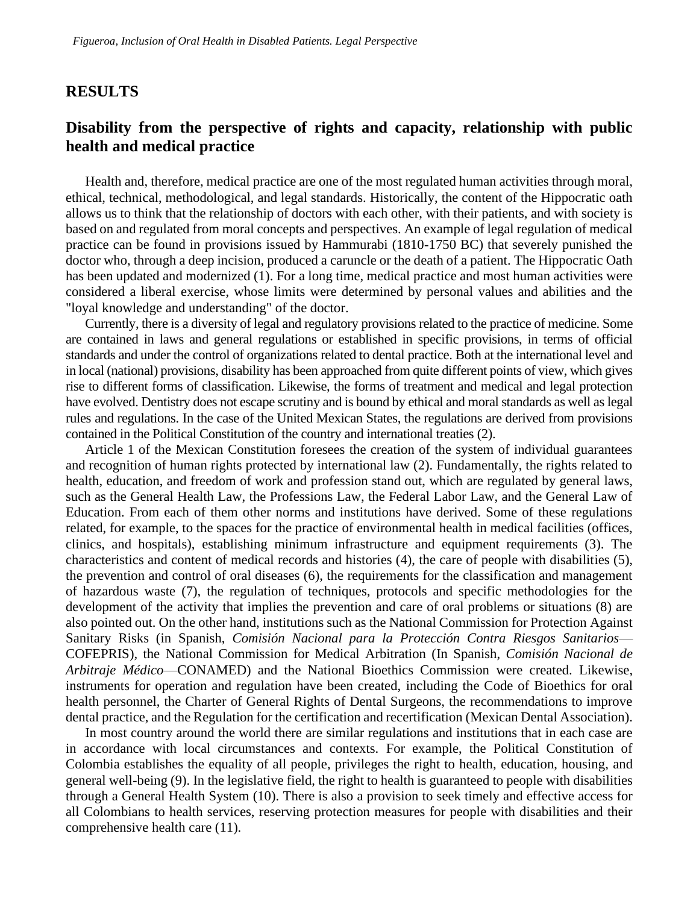### **RESULTS**

# **Disability from the perspective of rights and capacity, relationship with public health and medical practice**

Health and, therefore, medical practice are one of the most regulated human activities through moral, ethical, technical, methodological, and legal standards. Historically, the content of the Hippocratic oath allows us to think that the relationship of doctors with each other, with their patients, and with society is based on and regulated from moral concepts and perspectives. An example of legal regulation of medical practice can be found in provisions issued by Hammurabi (1810-1750 BC) that severely punished the doctor who, through a deep incision, produced a caruncle or the death of a patient. The Hippocratic Oath has been updated and modernized (1). For a long time, medical practice and most human activities were considered a liberal exercise, whose limits were determined by personal values and abilities and the "loyal knowledge and understanding" of the doctor.

Currently, there is a diversity of legal and regulatory provisions related to the practice of medicine. Some are contained in laws and general regulations or established in specific provisions, in terms of official standards and under the control of organizations related to dental practice. Both at the international level and in local (national) provisions, disability has been approached from quite different points of view, which gives rise to different forms of classification. Likewise, the forms of treatment and medical and legal protection have evolved. Dentistry does not escape scrutiny and is bound by ethical and moral standards as well as legal rules and regulations. In the case of the United Mexican States, the regulations are derived from provisions contained in the Political Constitution of the country and international treaties (2).

Article 1 of the Mexican Constitution foresees the creation of the system of individual guarantees and recognition of human rights protected by international law (2). Fundamentally, the rights related to health, education, and freedom of work and profession stand out, which are regulated by general laws, such as the General Health Law, the Professions Law, the Federal Labor Law, and the General Law of Education. From each of them other norms and institutions have derived. Some of these regulations related, for example, to the spaces for the practice of environmental health in medical facilities (offices, clinics, and hospitals), establishing minimum infrastructure and equipment requirements (3). The characteristics and content of medical records and histories (4), the care of people with disabilities (5), the prevention and control of oral diseases (6), the requirements for the classification and management of hazardous waste (7), the regulation of techniques, protocols and specific methodologies for the development of the activity that implies the prevention and care of oral problems or situations (8) are also pointed out. On the other hand, institutions such as the National Commission for Protection Against Sanitary Risks (in Spanish, *Comisión Nacional para la Protección Contra Riesgos Sanitarios*— COFEPRIS), the National Commission for Medical Arbitration (In Spanish, *Comisión Nacional de Arbitraje Médico*—CONAMED) and the National Bioethics Commission were created. Likewise, instruments for operation and regulation have been created, including the Code of Bioethics for oral health personnel, the Charter of General Rights of Dental Surgeons, the recommendations to improve dental practice, and the Regulation for the certification and recertification (Mexican Dental Association).

In most country around the world there are similar regulations and institutions that in each case are in accordance with local circumstances and contexts. For example, the Political Constitution of Colombia establishes the equality of all people, privileges the right to health, education, housing, and general well-being (9). In the legislative field, the right to health is guaranteed to people with disabilities through a General Health System (10). There is also a provision to seek timely and effective access for all Colombians to health services, reserving protection measures for people with disabilities and their comprehensive health care (11).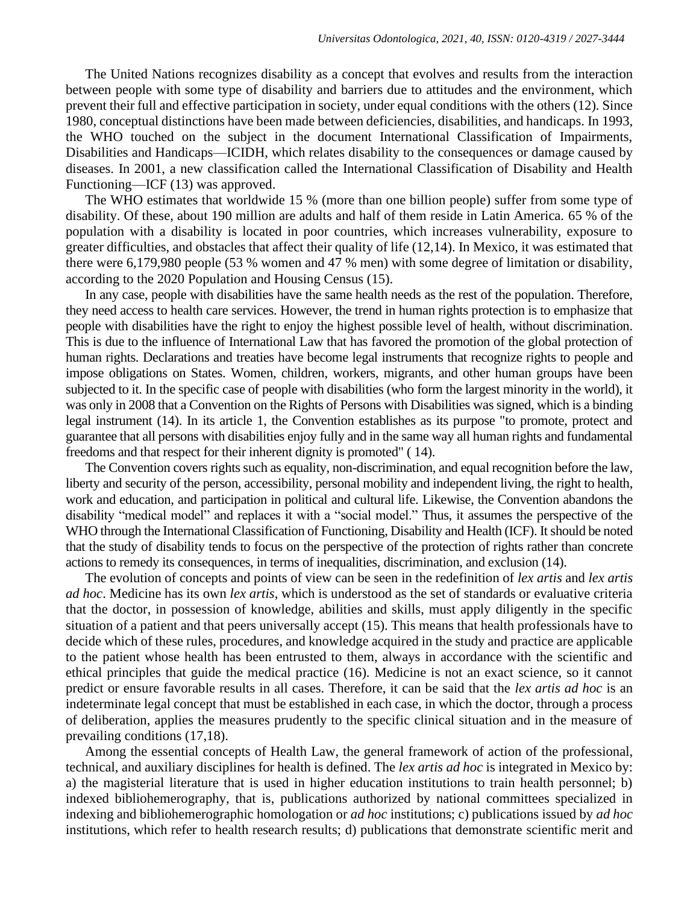The United Nations recognizes disability as a concept that evolves and results from the interaction between people with some type of disability and barriers due to attitudes and the environment, which prevent their full and effective participation in society, under equal conditions with the others (12). Since 1980, conceptual distinctions have been made between deficiencies, disabilities, and handicaps. In 1993, the WHO touched on the subject in the document International Classification of Impairments, Disabilities and Handicaps—ICIDH, which relates disability to the consequences or damage caused by diseases. In 2001, a new classification called the International Classification of Disability and Health Functioning—ICF (13) was approved.

The WHO estimates that worldwide 15 % (more than one billion people) suffer from some type of disability. Of these, about 190 million are adults and half of them reside in Latin America. 65 % of the population with a disability is located in poor countries, which increases vulnerability, exposure to greater difficulties, and obstacles that affect their quality of life (12,14). In Mexico, it was estimated that there were 6,179,980 people (53 % women and 47 % men) with some degree of limitation or disability, according to the 2020 Population and Housing Census (15).

In any case, people with disabilities have the same health needs as the rest of the population. Therefore, they need access to health care services. However, the trend in human rights protection is to emphasize that people with disabilities have the right to enjoy the highest possible level of health, without discrimination. This is due to the influence of International Law that has favored the promotion of the global protection of human rights. Declarations and treaties have become legal instruments that recognize rights to people and impose obligations on States. Women, children, workers, migrants, and other human groups have been subjected to it. In the specific case of people with disabilities (who form the largest minority in the world), it was only in 2008 that a Convention on the Rights of Persons with Disabilities was signed, which is a binding legal instrument (14). In its article 1, the Convention establishes as its purpose "to promote, protect and guarantee that all persons with disabilities enjoy fully and in the same way all human rights and fundamental freedoms and that respect for their inherent dignity is promoted" ( 14).

The Convention covers rights such as equality, non-discrimination, and equal recognition before the law, liberty and security of the person, accessibility, personal mobility and independent living, the right to health, work and education, and participation in political and cultural life. Likewise, the Convention abandons the disability "medical model" and replaces it with a "social model." Thus, it assumes the perspective of the WHO through the International Classification of Functioning, Disability and Health (ICF). It should be noted that the study of disability tends to focus on the perspective of the protection of rights rather than concrete actions to remedy its consequences, in terms of inequalities, discrimination, and exclusion (14).

The evolution of concepts and points of view can be seen in the redefinition of *lex artis* and *lex artis ad hoc*. Medicine has its own *lex artis*, which is understood as the set of standards or evaluative criteria that the doctor, in possession of knowledge, abilities and skills, must apply diligently in the specific situation of a patient and that peers universally accept (15). This means that health professionals have to decide which of these rules, procedures, and knowledge acquired in the study and practice are applicable to the patient whose health has been entrusted to them, always in accordance with the scientific and ethical principles that guide the medical practice (16). Medicine is not an exact science, so it cannot predict or ensure favorable results in all cases. Therefore, it can be said that the *lex artis ad hoc* is an indeterminate legal concept that must be established in each case, in which the doctor, through a process of deliberation, applies the measures prudently to the specific clinical situation and in the measure of prevailing conditions (17,18).

Among the essential concepts of Health Law, the general framework of action of the professional, technical, and auxiliary disciplines for health is defined. The *lex artis ad hoc* is integrated in Mexico by: a) the magisterial literature that is used in higher education institutions to train health personnel; b) indexed bibliohemerography, that is, publications authorized by national committees specialized in indexing and bibliohemerographic homologation or *ad hoc* institutions; c) publications issued by *ad hoc* institutions, which refer to health research results; d) publications that demonstrate scientific merit and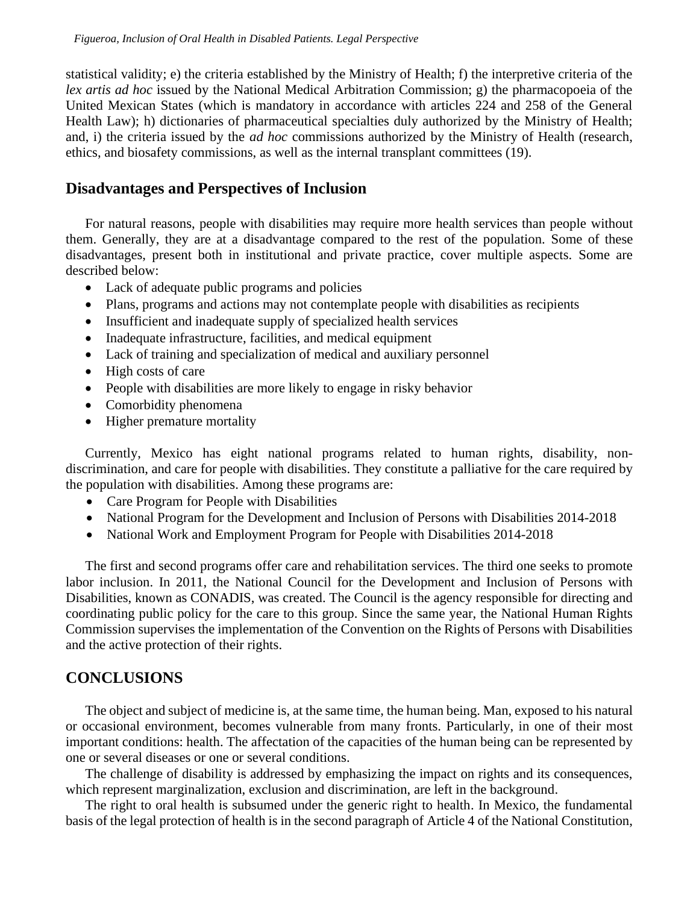statistical validity; e) the criteria established by the Ministry of Health; f) the interpretive criteria of the *lex artis ad hoc* issued by the National Medical Arbitration Commission; g) the pharmacopoeia of the United Mexican States (which is mandatory in accordance with articles 224 and 258 of the General Health Law); h) dictionaries of pharmaceutical specialties duly authorized by the Ministry of Health; and, i) the criteria issued by the *ad hoc* commissions authorized by the Ministry of Health (research, ethics, and biosafety commissions, as well as the internal transplant committees (19).

## **Disadvantages and Perspectives of Inclusion**

For natural reasons, people with disabilities may require more health services than people without them. Generally, they are at a disadvantage compared to the rest of the population. Some of these disadvantages, present both in institutional and private practice, cover multiple aspects. Some are described below:

- Lack of adequate public programs and policies
- Plans, programs and actions may not contemplate people with disabilities as recipients
- Insufficient and inadequate supply of specialized health services
- Inadequate infrastructure, facilities, and medical equipment
- Lack of training and specialization of medical and auxiliary personnel
- High costs of care
- People with disabilities are more likely to engage in risky behavior
- Comorbidity phenomena
- Higher premature mortality

Currently, Mexico has eight national programs related to human rights, disability, nondiscrimination, and care for people with disabilities. They constitute a palliative for the care required by the population with disabilities. Among these programs are:

- Care Program for People with Disabilities
- National Program for the Development and Inclusion of Persons with Disabilities 2014-2018
- National Work and Employment Program for People with Disabilities 2014-2018

The first and second programs offer care and rehabilitation services. The third one seeks to promote labor inclusion. In 2011, the National Council for the Development and Inclusion of Persons with Disabilities, known as CONADIS, was created. The Council is the agency responsible for directing and coordinating public policy for the care to this group. Since the same year, the National Human Rights Commission supervises the implementation of the Convention on the Rights of Persons with Disabilities and the active protection of their rights.

## **CONCLUSIONS**

The object and subject of medicine is, at the same time, the human being. Man, exposed to his natural or occasional environment, becomes vulnerable from many fronts. Particularly, in one of their most important conditions: health. The affectation of the capacities of the human being can be represented by one or several diseases or one or several conditions.

The challenge of disability is addressed by emphasizing the impact on rights and its consequences, which represent marginalization, exclusion and discrimination, are left in the background.

The right to oral health is subsumed under the generic right to health. In Mexico, the fundamental basis of the legal protection of health is in the second paragraph of Article 4 of the National Constitution,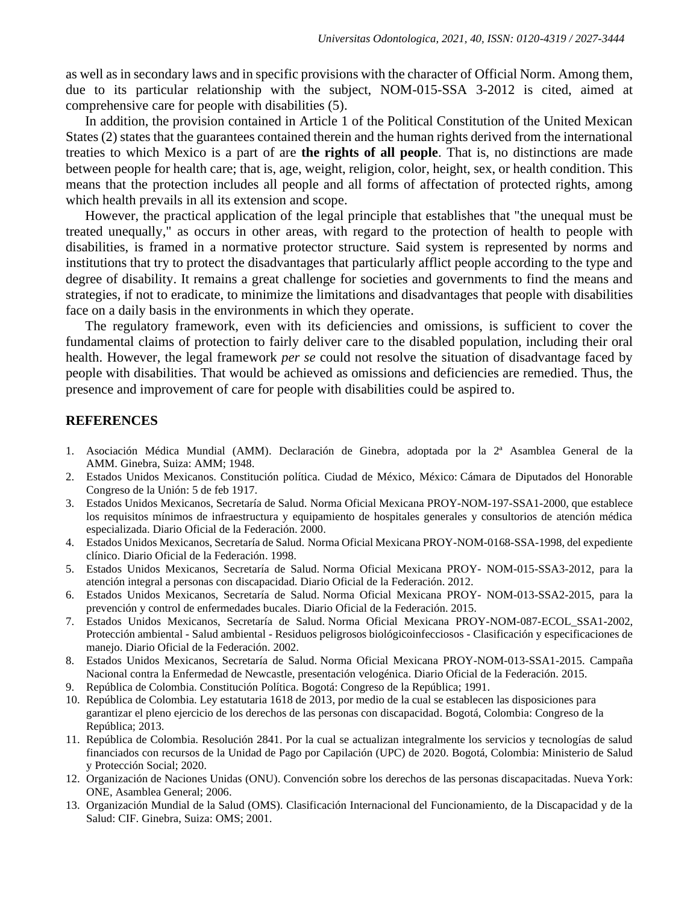as well as in secondary laws and in specific provisions with the character of Official Norm. Among them, due to its particular relationship with the subject, NOM-015-SSA 3-2012 is cited, aimed at comprehensive care for people with disabilities (5).

In addition, the provision contained in Article 1 of the Political Constitution of the United Mexican States (2) states that the guarantees contained therein and the human rights derived from the international treaties to which Mexico is a part of are **the rights of all people**. That is, no distinctions are made between people for health care; that is, age, weight, religion, color, height, sex, or health condition. This means that the protection includes all people and all forms of affectation of protected rights, among which health prevails in all its extension and scope.

However, the practical application of the legal principle that establishes that "the unequal must be treated unequally," as occurs in other areas, with regard to the protection of health to people with disabilities, is framed in a normative protector structure. Said system is represented by norms and institutions that try to protect the disadvantages that particularly afflict people according to the type and degree of disability. It remains a great challenge for societies and governments to find the means and strategies, if not to eradicate, to minimize the limitations and disadvantages that people with disabilities face on a daily basis in the environments in which they operate.

The regulatory framework, even with its deficiencies and omissions, is sufficient to cover the fundamental claims of protection to fairly deliver care to the disabled population, including their oral health. However, the legal framework *per se* could not resolve the situation of disadvantage faced by people with disabilities. That would be achieved as omissions and deficiencies are remedied. Thus, the presence and improvement of care for people with disabilities could be aspired to.

### **REFERENCES**

- 1. Asociación Médica Mundial (AMM). Declaración de Ginebra, adoptada por la 2ª Asamblea General de la AMM. Ginebra, Suiza: AMM; 1948.
- 2. Estados Unidos Mexicanos. Constitución política. Ciudad de México, México: Cámara de Diputados del Honorable Congreso de la Unión: 5 de feb 1917.
- 3. Estados Unidos Mexicanos, Secretaría de Salud. Norma Oficial Mexicana PROY-NOM-197-SSA1-2000, que establece los requisitos mínimos de infraestructura y equipamiento de hospitales generales y consultorios de atención médica especializada. Diario Oficial de la Federación. 2000.
- 4. Estados Unidos Mexicanos, Secretaría de Salud. Norma Oficial Mexicana PROY-NOM-0168-SSA-1998, del expediente clínico. Diario Oficial de la Federación. 1998.
- 5. Estados Unidos Mexicanos, Secretaría de Salud. Norma Oficial Mexicana PROY- NOM-015-SSA3-2012, para la atención integral a personas con discapacidad. Diario Oficial de la Federación. 2012.
- 6. Estados Unidos Mexicanos, Secretaría de Salud. Norma Oficial Mexicana PROY- NOM-013-SSA2-2015, para la prevención y control de enfermedades bucales. Diario Oficial de la Federación. 2015.
- 7. Estados Unidos Mexicanos, Secretaría de Salud. Norma Oficial Mexicana PROY-NOM-087-ECOL\_SSA1-2002, Protección ambiental - Salud ambiental - Residuos peligrosos biológicoinfecciosos - Clasificación y especificaciones de manejo. Diario Oficial de la Federación. 2002.
- 8. Estados Unidos Mexicanos, Secretaría de Salud. Norma Oficial Mexicana PROY-NOM-013-SSA1-2015. Campaña Nacional contra la Enfermedad de Newcastle, presentación velogénica. Diario Oficial de la Federación. 2015.
- 9. República de Colombia. Constitución Política. Bogotá: Congreso de la República; 1991.
- 10. República de Colombia. Ley estatutaria 1618 de 2013, por medio de la cual se establecen las disposiciones para garantizar el pleno ejercicio de los derechos de las personas con discapacidad. Bogotá, Colombia: Congreso de la República; 2013.
- 11. República de Colombia. Resolución 2841. Por la cual se actualizan integralmente los servicios y tecnologías de salud financiados con recursos de la Unidad de Pago por Capilación (UPC) de 2020. Bogotá, Colombia: Ministerio de Salud y Protección Social; 2020.
- 12. Organización de Naciones Unidas (ONU). Convención sobre los derechos de las personas discapacitadas. Nueva York: ONE, Asamblea General; 2006.
- 13. Organización Mundial de la Salud (OMS). Clasificación Internacional del Funcionamiento, de la Discapacidad y de la Salud: CIF. Ginebra, Suiza: OMS; 2001.